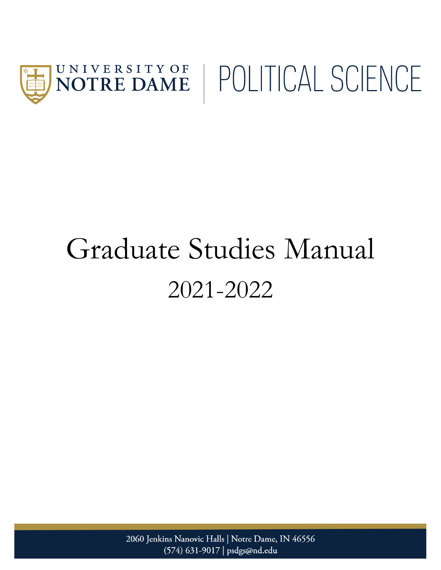

# Graduate Studies Manual 2021-2022

2060 Jenkins Nanovic Halls | Notre Dame, IN 46556 (574) 631-9017 | psdgs@nd.edu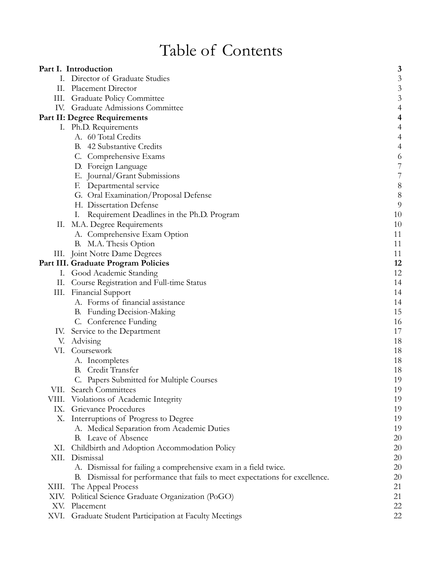# Table of Contents

|       | Part I. Introduction                                                         | 3                        |
|-------|------------------------------------------------------------------------------|--------------------------|
|       | I. Director of Graduate Studies                                              | $\mathfrak{Z}$           |
| П.    | <b>Placement Director</b>                                                    | $\mathfrak{Z}$           |
|       | III. Graduate Policy Committee                                               | $\mathfrak{Z}$           |
|       | IV. Graduate Admissions Committee                                            | $\overline{4}$           |
|       | Part II: Degree Requirements                                                 | 4                        |
|       | I. Ph.D. Requirements                                                        | 4                        |
|       | A. 60 Total Credits                                                          | $\overline{4}$           |
|       | B. 42 Substantive Credits                                                    | $\overline{\mathcal{A}}$ |
|       | C. Comprehensive Exams                                                       | 6                        |
|       | D. Foreign Language                                                          | $\overline{7}$           |
|       | E. Journal/Grant Submissions                                                 | $\overline{7}$           |
|       | F. Departmental service                                                      | $\,$ 8 $\,$              |
|       | G. Oral Examination/Proposal Defense                                         | $\boldsymbol{8}$         |
|       | H. Dissertation Defense                                                      | 9                        |
|       | Requirement Deadlines in the Ph.D. Program<br>Ι.                             | 10                       |
| П.    | M.A. Degree Requirements                                                     | 10                       |
|       | A. Comprehensive Exam Option                                                 | 11                       |
|       | B. M.A. Thesis Option                                                        | 11                       |
|       | III. Joint Notre Dame Degrees                                                | 11                       |
|       | Part III. Graduate Program Policies                                          | 12                       |
|       | I. Good Academic Standing                                                    | 12                       |
|       | II. Course Registration and Full-time Status                                 | 14                       |
|       | III. Financial Support                                                       | 14                       |
|       | A. Forms of financial assistance                                             | 14                       |
|       | B. Funding Decision-Making                                                   | 15                       |
|       | C. Conference Funding                                                        | 16                       |
|       | IV. Service to the Department                                                | 17                       |
| V.    | Advising                                                                     | 18                       |
|       | VI. Coursework                                                               | 18                       |
|       | A. Incompletes                                                               | 18                       |
|       | B. Credit Transfer                                                           | 18                       |
|       | C. Papers Submitted for Multiple Courses                                     | 19                       |
| VII.  | <b>Search Committees</b>                                                     | 19                       |
| VIII. | Violations of Academic Integrity                                             | 19                       |
|       | IX. Grievance Procedures                                                     | 19                       |
| Х.    | Interruptions of Progress to Degree                                          | 19                       |
|       | A. Medical Separation from Academic Duties                                   | 19                       |
|       | B. Leave of Absence                                                          | 20                       |
|       | XI. Childbirth and Adoption Accommodation Policy                             | 20                       |
|       | XII. Dismissal                                                               | 20                       |
|       | A. Dismissal for failing a comprehensive exam in a field twice.              | 20                       |
|       | B. Dismissal for performance that fails to meet expectations for excellence. | 20                       |
| XIII. | The Appeal Process                                                           | 21                       |
| XIV.  | Political Science Graduate Organization (PoGO)                               | 21                       |
| XV.   | Placement                                                                    | 22                       |
| XVI.  | Graduate Student Participation at Faculty Meetings                           | 22                       |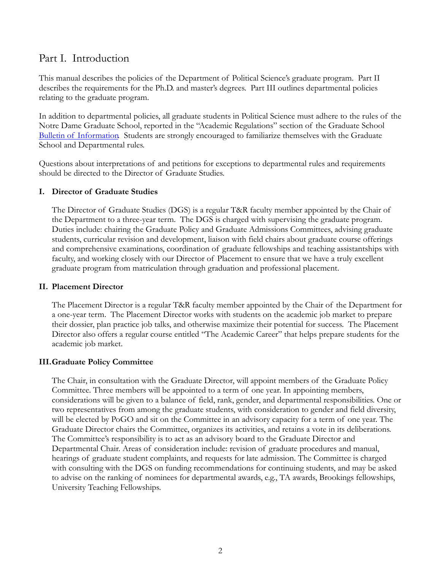## <span id="page-2-0"></span>Part I. Introduction

This manual describes the policies of the Department of Political Science's graduate program. Part II describes the requirements for the Ph.D. and master's degrees. Part III outlines departmental policies relating to the graduate program.

In addition to departmental policies, all graduate students in Political Science must adhere to the rules of the Notre Dame Graduate School, reported in the "Academic Regulations" section of the Graduate School [Bulletin of Information.](https://graduateschool.nd.edu/policies-forms/forms-policies-procedures/) Students are strongly encouraged to familiarize themselves with the Graduate School and Departmental rules.

Questions about interpretations of and petitions for exceptions to departmental rules and requirements should be directed to the Director of Graduate Studies.

#### <span id="page-2-1"></span>**I. Director of Graduate Studies**

The Director of Graduate Studies (DGS) is a regular T&R faculty member appointed by the Chair of the Department to a three-year term. The DGS is charged with supervising the graduate program. Duties include: chairing the Graduate Policy and Graduate Admissions Committees, advising graduate students, curricular revision and development, liaison with field chairs about graduate course offerings and comprehensive examinations, coordination of graduate fellowships and teaching assistantships with faculty, and working closely with our Director of Placement to ensure that we have a truly excellent graduate program from matriculation through graduation and professional placement.

#### <span id="page-2-2"></span>**II. Placement Director**

The Placement Director is a regular T&R faculty member appointed by the Chair of the Department for a one-year term. The Placement Director works with students on the academic job market to prepare their dossier, plan practice job talks, and otherwise maximize their potential for success. The Placement Director also offers a regular course entitled "The Academic Career" that helps prepare students for the academic job market.

#### <span id="page-2-3"></span>**III.Graduate Policy Committee**

The Chair, in consultation with the Graduate Director, will appoint members of the Graduate Policy Committee. Three members will be appointed to a term of one year. In appointing members, considerations will be given to a balance of field, rank, gender, and departmental responsibilities. One or two representatives from among the graduate students, with consideration to gender and field diversity, will be elected by PoGO and sit on the Committee in an advisory capacity for a term of one year. The Graduate Director chairs the Committee, organizes its activities, and retains a vote in its deliberations. The Committee's responsibility is to act as an advisory board to the Graduate Director and Departmental Chair. Areas of consideration include: revision of graduate procedures and manual, hearings of graduate student complaints, and requests for late admission. The Committee is charged with consulting with the DGS on funding recommendations for continuing students, and may be asked to advise on the ranking of nominees for departmental awards, e.g., TA awards, Brookings fellowships, University Teaching Fellowships.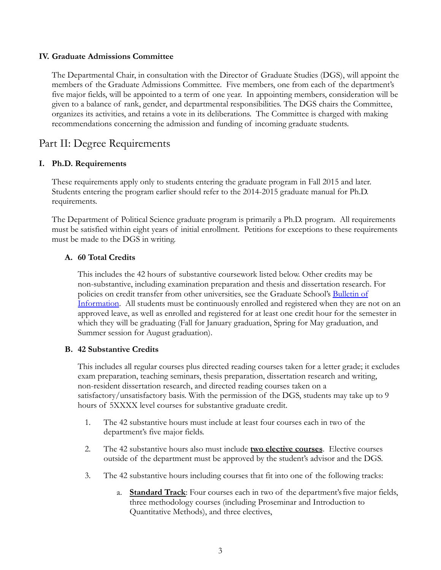#### <span id="page-3-0"></span>**IV. Graduate Admissions Committee**

The Departmental Chair, in consultation with the Director of Graduate Studies (DGS), will appoint the members of the Graduate Admissions Committee. Five members, one from each of the department's five major fields, will be appointed to a term of one year. In appointing members, consideration will be given to a balance of rank, gender, and departmental responsibilities. The DGS chairs the Committee, organizes its activities, and retains a vote in its deliberations. The Committee is charged with making recommendations concerning the admission and funding of incoming graduate students.

### <span id="page-3-1"></span>Part II: Degree Requirements

#### <span id="page-3-2"></span>**I. Ph.D. Requirements**

These requirements apply only to students entering the graduate program in Fall 2015 and later. Students entering the program earlier should refer to the 2014-2015 graduate manual for Ph.D. requirements.

The Department of Political Science graduate program is primarily a Ph.D. program. All requirements must be satisfied within eight years of initial enrollment. Petitions for exceptions to these requirements must be made to the DGS in writing.

#### <span id="page-3-3"></span>**A. 60 Total Credits**

This includes the 42 hours of substantive coursework listed below. Other credits may be non-substantive, including examination preparation and thesis and dissertation research. For policies on credit transfer from other universities, see the Graduate School's [Bulletin of](https://graduateschool.nd.edu/policies-forms/forms-policies-procedures/) [Information](https://graduateschool.nd.edu/policies-forms/forms-policies-procedures/). All students must be continuously enrolled and registered when they are not on an approved leave, as well as enrolled and registered for at least one credit hour for the semester in which they will be graduating (Fall for January graduation, Spring for May graduation, and Summer session for August graduation).

#### <span id="page-3-4"></span>**B. 42 Substantive Credits**

This includes all regular courses plus directed reading courses taken for a letter grade; it excludes exam preparation, teaching seminars, thesis preparation, dissertation research and writing, non-resident dissertation research, and directed reading courses taken on a satisfactory/unsatisfactory basis. With the permission of the DGS, students may take up to 9 hours of 5XXXX level courses for substantive graduate credit.

- 1. The 42 substantive hours must include at least four courses each in two of the department's five major fields.
- 2. The 42 substantive hours also must include **two elective courses**. Elective courses outside of the department must be approved by the student's advisor and the DGS.
- 3. The 42 substantive hours including courses that fit into one of the following tracks:
	- a. **Standard Track**: Four courses each in two of the department'sfive major fields, three methodology courses (including Proseminar and Introduction to Quantitative Methods), and three electives,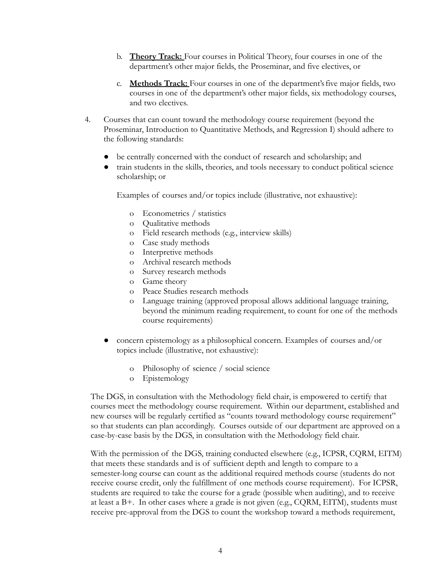- b. **Theory Track:** Four courses in Political Theory, four courses in one of the department's other major fields, the Proseminar, and five electives, or
- c. **Methods Track:** Four courses in one of the department'sfive major fields, two courses in one of the department's other major fields, six methodology courses, and two electives.
- 4. Courses that can count toward the methodology course requirement (beyond the Proseminar, Introduction to Quantitative Methods, and Regression I) should adhere to the following standards:
	- be centrally concerned with the conduct of research and scholarship; and
	- train students in the skills, theories, and tools necessary to conduct political science scholarship; or

Examples of courses and/or topics include (illustrative, not exhaustive):

- o Econometrics / statistics
- o Qualitative methods
- o Field research methods (e.g., interview skills)
- o Case study methods
- o Interpretive methods
- o Archival research methods
- o Survey research methods
- o Game theory
- o Peace Studies research methods
- o Language training (approved proposal allows additional language training, beyond the minimum reading requirement, to count for one of the methods course requirements)
- concern epistemology as a philosophical concern. Examples of courses and/or topics include (illustrative, not exhaustive):
	- o Philosophy of science / social science
	- o Epistemology

The DGS, in consultation with the Methodology field chair, is empowered to certify that courses meet the methodology course requirement. Within our department, established and new courses will be regularly certified as "counts toward methodology course requirement" so that students can plan accordingly. Courses outside of our department are approved on a case-by-case basis by the DGS, in consultation with the Methodology field chair.

With the permission of the DGS, training conducted elsewhere (e.g., ICPSR, CQRM, EITM) that meets these standards and is of sufficient depth and length to compare to a semester-long course can count as the additional required methods course (students do not receive course credit, only the fulfillment of one methods course requirement). For ICPSR, students are required to take the course for a grade (possible when auditing), and to receive at least a B+. In other cases where a grade is not given (e.g., CQRM, EITM), students must receive pre-approval from the DGS to count the workshop toward a methods requirement,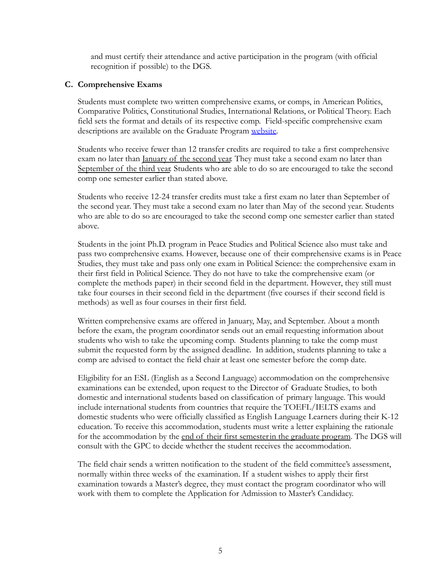and must certify their attendance and active participation in the program (with official recognition if possible) to the DGS.

#### <span id="page-5-0"></span>**C. Comprehensive Exams**

Students must complete two written comprehensive exams, or comps, in American Politics, Comparative Politics, Constitutional Studies, International Relations, or Political Theory. Each field sets the format and details of its respective comp. Field-specific comprehensive exam descriptions are available on the Graduate Program [website.](https://politicalscience.nd.edu/graduate-program/student-resources/#comps)

Students who receive fewer than 12 transfer credits are required to take a first comprehensive exam no later than January of the second year. They must take a second exam no later than September of the third year. Students who are able to do so are encouraged to take the second comp one semester earlier than stated above.

Students who receive 12-24 transfer credits must take a first exam no later than September of the second year. They must take a second exam no later than May of the second year. Students who are able to do so are encouraged to take the second comp one semester earlier than stated above.

Students in the joint Ph.D. program in Peace Studies and Political Science also must take and pass two comprehensive exams. However, because one of their comprehensive exams is in Peace Studies, they must take and pass only one exam in Political Science: the comprehensive exam in their first field in Political Science. They do not have to take the comprehensive exam (or complete the methods paper) in their second field in the department. However, they still must take four courses in their second field in the department (five courses if their second field is methods) as well as four courses in their first field.

Written comprehensive exams are offered in January, May, and September. About a month before the exam, the program coordinator sends out an email requesting information about students who wish to take the upcoming comp. Students planning to take the comp must submit the requested form by the assigned deadline. In addition, students planning to take a comp are advised to contact the field chair at least one semester before the comp date.

Eligibility for an ESL (English as a Second Language) accommodation on the comprehensive examinations can be extended, upon request to the Director of Graduate Studies, to both domestic and international students based on classification of primary language. This would include international students from countries that require the TOEFL/IELTS exams and domestic students who were officially classified as English Language Learners during their K-12 education. To receive this accommodation, students must write a letter explaining the rationale for the accommodation by the end of their first semesterin the graduate program. The DGS will consult with the GPC to decide whether the student receives the accommodation.

The field chair sends a written notification to the student of the field committee's assessment, normally within three weeks of the examination. If a student wishes to apply their first examination towards a Master's degree, they must contact the program coordinator who will work with them to complete the Application for Admission to Master's Candidacy.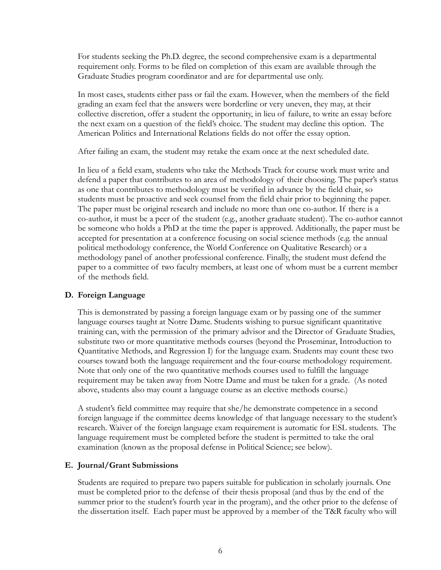For students seeking the Ph.D. degree, the second comprehensive exam is a departmental requirement only. Forms to be filed on completion of this exam are available through the Graduate Studies program coordinator and are for departmental use only.

In most cases, students either pass or fail the exam. However, when the members of the field grading an exam feel that the answers were borderline or very uneven, they may, at their collective discretion, offer a student the opportunity, in lieu of failure, to write an essay before the next exam on a question of the field's choice. The student may decline this option. The American Politics and International Relations fields do not offer the essay option.

After failing an exam, the student may retake the exam once at the next scheduled date.

In lieu of a field exam, students who take the Methods Track for course work must write and defend a paper that contributes to an area of methodology of their choosing. The paper's status as one that contributes to methodology must be verified in advance by the field chair, so students must be proactive and seek counsel from the field chair prior to beginning the paper. The paper must be original research and include no more than one co-author. If there is a co-author, it must be a peer of the student (e.g., another graduate student). The co-author cannot be someone who holds a PhD at the time the paper is approved. Additionally, the paper must be accepted for presentation at a conference focusing on social science methods (e.g. the annual political methodology conference, the World Conference on Qualitative Research) or a methodology panel of another professional conference. Finally, the student must defend the paper to a committee of two faculty members, at least one of whom must be a current member of the methods field.

#### <span id="page-6-0"></span>**D. Foreign Language**

This is demonstrated by passing a foreign language exam or by passing one of the summer language courses taught at Notre Dame. Students wishing to pursue significant quantitative training can, with the permission of the primary advisor and the Director of Graduate Studies, substitute two or more quantitative methods courses (beyond the Proseminar, Introduction to Quantitative Methods, and Regression I) for the language exam. Students may count these two courses toward both the language requirement and the four-course methodology requirement. Note that only one of the two quantitative methods courses used to fulfill the language requirement may be taken away from Notre Dame and must be taken for a grade. (As noted above, students also may count a language course as an elective methods course.)

A student's field committee may require that she/he demonstrate competence in a second foreign language if the committee deems knowledge of that language necessary to the student's research. Waiver of the foreign language exam requirement is automatic for ESL students. The language requirement must be completed before the student is permitted to take the oral examination (known as the proposal defense in Political Science; see below).

#### <span id="page-6-1"></span>**E. Journal/Grant Submissions**

Students are required to prepare two papers suitable for publication in scholarly journals. One must be completed prior to the defense of their thesis proposal (and thus by the end of the summer prior to the student's fourth year in the program), and the other prior to the defense of the dissertation itself. Each paper must be approved by a member of the T&R faculty who will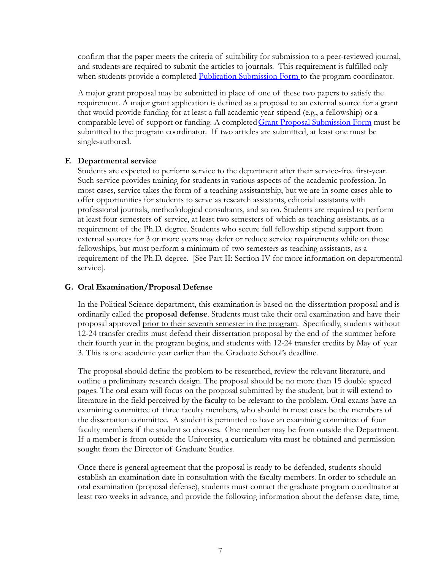confirm that the paper meets the criteria of suitability for submission to a peer-reviewed journal, and students are required to submit the articles to journals. This requirement is fulfilled only when students provide a completed [Publication Submission](https://politicalscience.nd.edu/graduate-program/student-resources/#forms) Form to the program coordinator.

A major grant proposal may be submitted in place of one of these two papers to satisfy the requirement. A major grant application is defined as a proposal to an external source for a grant that would provide funding for at least a full academic year stipend (e.g., a fellowship) or a comparable level of support or funding. A completed [Grant Proposal Submission Form](https://politicalscience.nd.edu/graduate-program/student-resources/#forms) must be submitted to the program coordinator. If two articles are submitted, at least one must be single-authored.

#### <span id="page-7-0"></span>**F. Departmental service**

Students are expected to perform service to the department after their service-free first-year. Such service provides training for students in various aspects of the academic profession. In most cases, service takes the form of a teaching assistantship, but we are in some cases able to offer opportunities for students to serve as research assistants, editorial assistants with professional journals, methodological consultants, and so on. Students are required to perform at least four semesters of service, at least two semesters of which as teaching assistants, as a requirement of the Ph.D. degree. Students who secure full fellowship stipend support from external sources for 3 or more years may defer or reduce service requirements while on those fellowships, but must perform a minimum of two semesters as teaching assistants, as a requirement of the Ph.D. degree. [See Part II: Section IV for more information on departmental service].

#### <span id="page-7-1"></span>**G. Oral Examination/Proposal Defense**

In the Political Science department, this examination is based on the dissertation proposal and is ordinarily called the **proposal defense**. Students must take their oral examination and have their proposal approved prior to their seventh semester in the program. Specifically, students without 12-24 transfer credits must defend their dissertation proposal by the end of the summer before their fourth year in the program begins, and students with 12-24 transfer credits by May of year 3. This is one academic year earlier than the Graduate School's deadline.

The proposal should define the problem to be researched, review the relevant literature, and outline a preliminary research design. The proposal should be no more than 15 double spaced pages. The oral exam will focus on the proposal submitted by the student, but it will extend to literature in the field perceived by the faculty to be relevant to the problem. Oral exams have an examining committee of three faculty members, who should in most cases be the members of the dissertation committee. A student is permitted to have an examining committee of four faculty members if the student so chooses. One member may be from outside the Department. If a member is from outside the University, a curriculum vita must be obtained and permission sought from the Director of Graduate Studies.

Once there is general agreement that the proposal is ready to be defended, students should establish an examination date in consultation with the faculty members. In order to schedule an oral examination (proposal defense), students must contact the graduate program coordinator at least two weeks in advance, and provide the following information about the defense: date, time,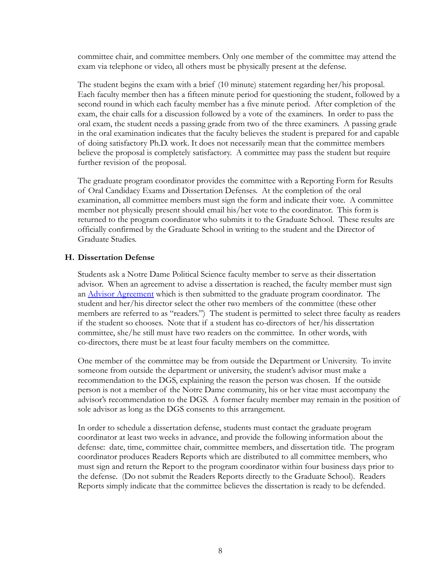committee chair, and committee members. Only one member of the committee may attend the exam via telephone or video, all others must be physically present at the defense.

The student begins the exam with a brief (10 minute) statement regarding her/his proposal. Each faculty member then has a fifteen minute period for questioning the student, followed by a second round in which each faculty member has a five minute period. After completion of the exam, the chair calls for a discussion followed by a vote of the examiners. In order to pass the oral exam, the student needs a passing grade from two of the three examiners. A passing grade in the oral examination indicates that the faculty believes the student is prepared for and capable of doing satisfactory Ph.D. work. It does not necessarily mean that the committee members believe the proposal is completely satisfactory. A committee may pass the student but require further revision of the proposal.

The graduate program coordinator provides the committee with a Reporting Form for Results of Oral Candidacy Exams and Dissertation Defenses. At the completion of the oral examination, all committee members must sign the form and indicate their vote. A committee member not physically present should email his/her vote to the coordinator. This form is returned to the program coordinator who submits it to the Graduate School. These results are officially confirmed by the Graduate School in writing to the student and the Director of Graduate Studies.

#### <span id="page-8-0"></span>**H. Dissertation Defense**

Students ask a Notre Dame Political Science faculty member to serve as their dissertation advisor. When an agreement to advise a dissertation is reached, the faculty member must sign an [Advisor Agreement](https://politicalscience.nd.edu/graduate-program/student-resources/#forms) which is then submitted to the graduate program coordinator. The student and her/his director select the other two members of the committee (these other members are referred to as "readers.") The student is permitted to select three faculty as readers if the student so chooses. Note that if a student has co-directors of her/his dissertation committee, she/he still must have two readers on the committee. In other words, with co-directors, there must be at least four faculty members on the committee.

One member of the committee may be from outside the Department or University. To invite someone from outside the department or university, the student's advisor must make a recommendation to the DGS, explaining the reason the person was chosen. If the outside person is not a member of the Notre Dame community, his or her vitae must accompany the advisor's recommendation to the DGS. A former faculty member may remain in the position of sole advisor as long as the DGS consents to this arrangement.

In order to schedule a dissertation defense, students must contact the graduate program coordinator at least two weeks in advance, and provide the following information about the defense: date, time, committee chair, committee members, and dissertation title. The program coordinator produces Readers Reports which are distributed to all committee members, who must sign and return the Report to the program coordinator within four business days prior to the defense. (Do not submit the Readers Reports directly to the Graduate School). Readers Reports simply indicate that the committee believes the dissertation is ready to be defended.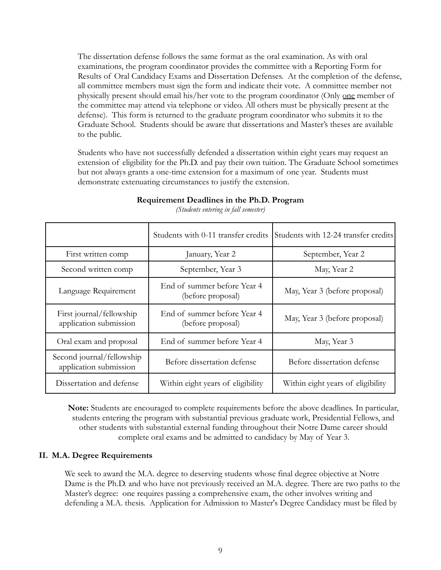The dissertation defense follows the same format as the oral examination. As with oral examinations, the program coordinator provides the committee with a Reporting Form for Results of Oral Candidacy Exams and Dissertation Defenses. At the completion of the defense, all committee members must sign the form and indicate their vote. A committee member not physically present should email his/her vote to the program coordinator (Only one member of the committee may attend via telephone or video. All others must be physically present at the defense). This form is returned to the graduate program coordinator who submits it to the Graduate School. Students should be aware that dissertations and Master's theses are available to the public.

Students who have not successfully defended a dissertation within eight years may request an extension of eligibility for the Ph.D. and pay their own tuition. The Graduate School sometimes but not always grants a one-time extension for a maximum of one year. Students must demonstrate extenuating circumstances to justify the extension.

<span id="page-9-0"></span>

|                                                     | Students with 0-11 transfer credits              | Students with 12-24 transfer credits |
|-----------------------------------------------------|--------------------------------------------------|--------------------------------------|
| First written comp                                  | January, Year 2                                  | September, Year 2                    |
| Second written comp                                 | September, Year 3                                | May, Year 2                          |
| Language Requirement                                | End of summer before Year 4<br>(before proposal) | May, Year 3 (before proposal)        |
| First journal/fellowship<br>application submission  | End of summer before Year 4<br>(before proposal) | May, Year 3 (before proposal)        |
| Oral exam and proposal                              | End of summer before Year 4                      | May, Year 3                          |
| Second journal/fellowship<br>application submission | Before dissertation defense                      | Before dissertation defense          |
| Dissertation and defense                            | Within eight years of eligibility                | Within eight years of eligibility    |

#### **Requirement Deadlines in the Ph.D. Program**

*(Students entering in fall semester)*

**Note:** Students are encouraged to complete requirements before the above deadlines. In particular, students entering the program with substantial previous graduate work, Presidential Fellows, and other students with substantial external funding throughout their Notre Dame career should complete oral exams and be admitted to candidacy by May of Year 3.

#### <span id="page-9-1"></span>**II. M.A. Degree Requirements**

We seek to award the M.A. degree to deserving students whose final degree objective at Notre Dame is the Ph.D. and who have not previously received an M.A. degree. There are two paths to the Master's degree: one requires passing a comprehensive exam, the other involves writing and defending a M.A. thesis. Application for Admission to Master's Degree Candidacy must be filed by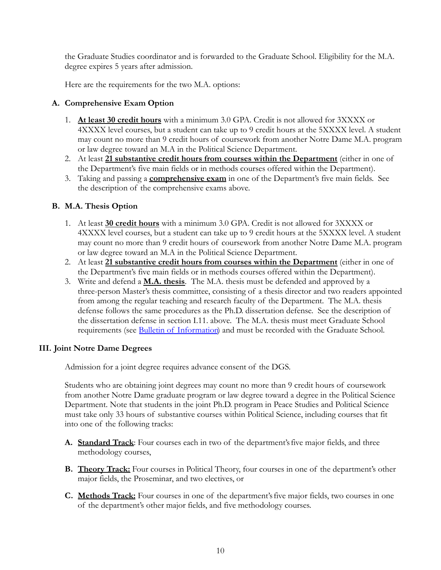the Graduate Studies coordinator and is forwarded to the Graduate School. Eligibility for the M.A. degree expires 5 years after admission.

Here are the requirements for the two M.A. options:

#### <span id="page-10-0"></span>**A. Comprehensive Exam Option**

- 1. **At least 30 credit hours** with a minimum 3.0 GPA. Credit is not allowed for 3XXXX or 4XXXX level courses, but a student can take up to 9 credit hours at the 5XXXX level. A student may count no more than 9 credit hours of coursework from another Notre Dame M.A. program or law degree toward an M.A in the Political Science Department.
- 2. At least **21 substantive credit hours from courses within the Department** (either in one of the Department's five main fields or in methods courses offered within the Department).
- 3. Taking and passing a **comprehensive exam** in one of the Department's five main fields. See the description of the comprehensive exams above.

#### <span id="page-10-1"></span>**B. M.A. Thesis Option**

- 1. At least **30 credit hours** with a minimum 3.0 GPA. Credit is not allowed for 3XXXX or 4XXXX level courses, but a student can take up to 9 credit hours at the 5XXXX level. A student may count no more than 9 credit hours of coursework from another Notre Dame M.A. program or law degree toward an M.A in the Political Science Department.
- 2. At least **21 substantive credit hours from courses within the Department** (either in one of the Department's five main fields or in methods courses offered within the Department).
- 3. Write and defend a **M.A. thesis**. The M.A. thesis must be defended and approved by a three-person Master's thesis committee, consisting of a thesis director and two readers appointed from among the regular teaching and research faculty of the Department. The M.A. thesis defense follows the same procedures as the Ph.D. dissertation defense. See the description of the dissertation defense in section I.11. above. The M.A. thesis must meet Graduate School requirements (see [Bulletin of Information](https://graduateschool.nd.edu/policies-forms/forms-policies-procedures/)) and must be recorded with the Graduate School.

#### <span id="page-10-2"></span>**III. Joint Notre Dame Degrees**

Admission for a joint degree requires advance consent of the DGS.

Students who are obtaining joint degrees may count no more than 9 credit hours of coursework from another Notre Dame graduate program or law degree toward a degree in the Political Science Department. Note that students in the joint Ph.D. program in Peace Studies and Political Science must take only 33 hours of substantive courses within Political Science, including courses that fit into one of the following tracks:

- **A. Standard Track**: Four courses each in two of the department'sfive major fields, and three methodology courses,
- **B. Theory Track:** Four courses in Political Theory, four courses in one of the department's other major fields, the Proseminar, and two electives, or
- **C. Methods Track:** Four courses in one of the department'sfive major fields, two courses in one of the department's other major fields, and five methodology courses.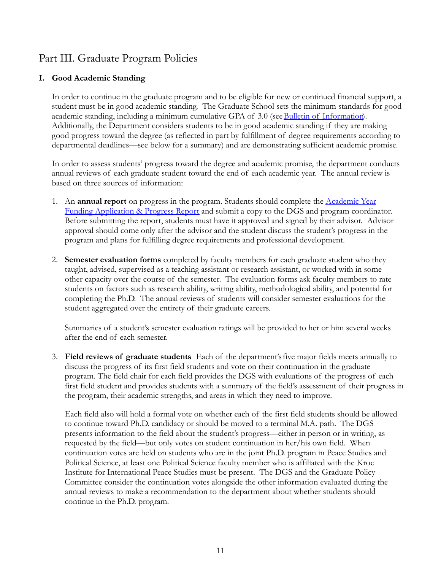# <span id="page-11-0"></span>Part III. Graduate Program Policies

#### <span id="page-11-1"></span>**I. Good Academic Standing**

In order to continue in the graduate program and to be eligible for new or continued financial support, a student must be in good academic standing. The Graduate School sets the minimum standards for good academic standing, including a minimum cumulative GPA of 3.0 (see [Bulletin of Information\)](https://graduateschool.nd.edu/policies-forms/forms-policies-procedures/). Additionally, the Department considers students to be in good academic standing if they are making good progress toward the degree (as reflected in part by fulfillment of degree requirements according to departmental deadlines—see below for a summary) and are demonstrating sufficient academic promise.

In order to assess students' progress toward the degree and academic promise, the department conducts annual reviews of each graduate student toward the end of each academic year. The annual review is based on three sources of information:

- 1. An **annual report** on progress in the program. Students should complete the Academic Year Funding Application & Progress Report and submit a copy to the DGS and program coordinator. Before submitting the report, students must have it approved and signed by their advisor. Advisor approval should come only after the advisor and the student discuss the student's progress in the program and plans for fulfilling degree requirements and professional development.
- 2. **Semester evaluation forms** completed by faculty members for each graduate student who they taught, advised, supervised as a teaching assistant or research assistant, or worked with in some other capacity over the course of the semester. The evaluation forms ask faculty members to rate students on factors such as research ability, writing ability, methodological ability, and potential for completing the Ph.D. The annual reviews of students will consider semester evaluations for the student aggregated over the entirety of their graduate careers.

Summaries of a student's semester evaluation ratings will be provided to her or him several weeks after the end of each semester.

3. **Field reviews of graduate students**. Each of the department'sfive major fields meets annually to discuss the progress of its first field students and vote on their continuation in the graduate program. The field chair for each field provides the DGS with evaluations of the progress of each first field student and provides students with a summary of the field's assessment of their progress in the program, their academic strengths, and areas in which they need to improve.

Each field also will hold a formal vote on whether each of the first field students should be allowed to continue toward Ph.D. candidacy or should be moved to a terminal M.A. path. The DGS presents information to the field about the student's progress—either in person or in writing, as requested by the field—but only votes on student continuation in her/his own field. When continuation votes are held on students who are in the joint Ph.D. program in Peace Studies and Political Science, at least one Political Science faculty member who is affiliated with the Kroc Institute for International Peace Studies must be present. The DGS and the Graduate Policy Committee consider the continuation votes alongside the other information evaluated during the annual reviews to make a recommendation to the department about whether students should continue in the Ph.D. program.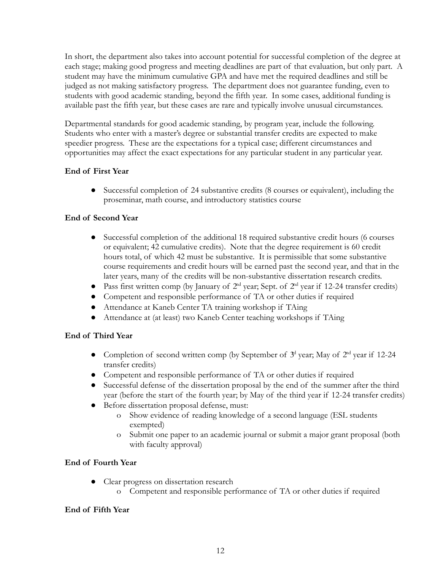In short, the department also takes into account potential for successful completion of the degree at each stage; making good progress and meeting deadlines are part of that evaluation, but only part. A student may have the minimum cumulative GPA and have met the required deadlines and still be judged as not making satisfactory progress. The department does not guarantee funding, even to students with good academic standing, beyond the fifth year. In some cases, additional funding is available past the fifth year, but these cases are rare and typically involve unusual circumstances.

Departmental standards for good academic standing, by program year, include the following. Students who enter with a master's degree or substantial transfer credits are expected to make speedier progress. These are the expectations for a typical case; different circumstances and opportunities may affect the exact expectations for any particular student in any particular year.

#### **End of First Year**

● Successful completion of 24 substantive credits (8 courses or equivalent), including the proseminar, math course, and introductory statistics course

#### **End of Second Year**

- Successful completion of the additional 18 required substantive credit hours (6 courses or equivalent; 42 cumulative credits). Note that the degree requirement is 60 credit hours total, of which 42 must be substantive. It is permissible that some substantive course requirements and credit hours will be earned past the second year, and that in the later years, many of the credits will be non-substantive dissertation research credits.
- Pass first written comp (by January of  $2<sup>nd</sup>$  year; Sept. of  $2<sup>nd</sup>$  year if 12-24 transfer credits)
- Competent and responsible performance of TA or other duties if required
- Attendance at Kaneb Center TA training workshop if TAing
- Attendance at (at least) two Kaneb Center teaching workshops if TAing

#### **End of Third Year**

- Completion of second written comp (by September of  $3<sup>d</sup>$  year; May of  $2<sup>nd</sup>$  year if 12-24 transfer credits)
- Competent and responsible performance of TA or other duties if required
- Successful defense of the dissertation proposal by the end of the summer after the third year (before the start of the fourth year; by May of the third year if 12-24 transfer credits)
- Before dissertation proposal defense, must:
	- o Show evidence of reading knowledge of a second language (ESL students exempted)
	- o Submit one paper to an academic journal or submit a major grant proposal (both with faculty approval)

#### **End of Fourth Year**

- Clear progress on dissertation research
	- o Competent and responsible performance of TA or other duties if required

#### **End of Fifth Year**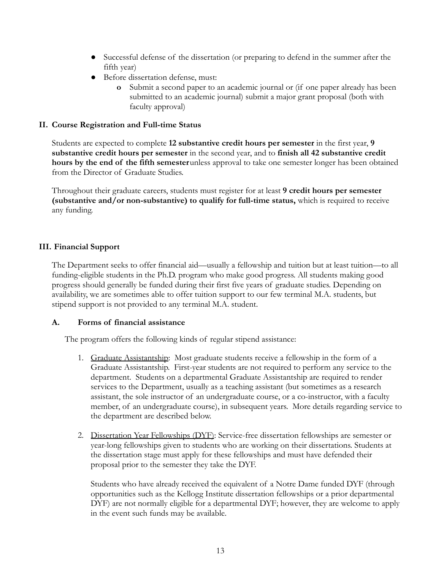- Successful defense of the dissertation (or preparing to defend in the summer after the fifth year)
- Before dissertation defense, must:
	- **o** Submit a second paper to an academic journal or (if one paper already has been submitted to an academic journal) submit a major grant proposal (both with faculty approval)

#### <span id="page-13-0"></span>**II. Course Registration and Full-time Status**

Students are expected to complete **12 substantive credit hours per semester** in the first year, **9 substantive credit hours per semester** in the second year, and to **finish all 42 substantive credit hours by the end of the fifth semester**unless approval to take one semester longer has been obtained from the Director of Graduate Studies.

Throughout their graduate careers, students must register for at least **9 credit hours per semester (substantive and/or non-substantive) to qualify for full-time status,** which is required to receive any funding.

#### <span id="page-13-1"></span>**III. Financial Support**

The Department seeks to offer financial aid—usually a fellowship and tuition but at least tuition—to all funding-eligible students in the Ph.D. program who make good progress. All students making good progress should generally be funded during their first five years of graduate studies. Depending on availability, we are sometimes able to offer tuition support to our few terminal M.A. students, but stipend support is not provided to any terminal M.A. student.

#### <span id="page-13-2"></span>**A. Forms of financial assistance**

The program offers the following kinds of regular stipend assistance:

- 1. Graduate Assistantship: Most graduate students receive a fellowship in the form of a Graduate Assistantship. First-year students are not required to perform any service to the department. Students on a departmental Graduate Assistantship are required to render services to the Department, usually as a teaching assistant (but sometimes as a research assistant, the sole instructor of an undergraduate course, or a co-instructor, with a faculty member, of an undergraduate course), in subsequent years. More details regarding service to the department are described below.
- 2. Dissertation Year Fellowships (DYF): Service-free dissertation fellowships are semester or year-long fellowships given to students who are working on their dissertations. Students at the dissertation stage must apply for these fellowships and must have defended their proposal prior to the semester they take the DYF.

Students who have already received the equivalent of a Notre Dame funded DYF (through opportunities such as the Kellogg Institute dissertation fellowships or a prior departmental DYF) are not normally eligible for a departmental DYF; however, they are welcome to apply in the event such funds may be available.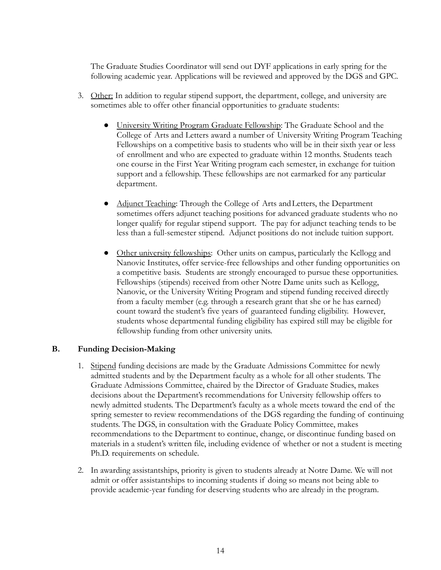The Graduate Studies Coordinator will send out DYF applications in early spring for the following academic year. Applications will be reviewed and approved by the DGS and GPC.

- 3. Other: In addition to regular stipend support, the department, college, and university are sometimes able to offer other financial opportunities to graduate students:
	- University Writing Program Graduate Fellowship: The Graduate School and the College of Arts and Letters award a number of University Writing Program Teaching Fellowships on a competitive basis to students who will be in their sixth year or less of enrollment and who are expected to graduate within 12 months. Students teach one course in the First Year Writing program each semester, in exchange for tuition support and a fellowship. These fellowships are not earmarked for any particular department.
	- Adjunct Teaching: Through the College of Arts and Letters, the Department sometimes offers adjunct teaching positions for advanced graduate students who no longer qualify for regular stipend support. The pay for adjunct teaching tends to be less than a full-semester stipend. Adjunct positions do not include tuition support.
	- Other university fellowships: Other units on campus, particularly the Kellogg and Nanovic Institutes, offer service-free fellowships and other funding opportunities on a competitive basis. Students are strongly encouraged to pursue these opportunities. Fellowships (stipends) received from other Notre Dame units such as Kellogg, Nanovic, or the University Writing Program and stipend funding received directly from a faculty member (e.g. through a research grant that she or he has earned) count toward the student's five years of guaranteed funding eligibility. However, students whose departmental funding eligibility has expired still may be eligible for fellowship funding from other university units.

#### <span id="page-14-0"></span>**B. Funding Decision-Making**

- 1. Stipend funding decisions are made by the Graduate Admissions Committee for newly admitted students and by the Department faculty as a whole for all other students. The Graduate Admissions Committee, chaired by the Director of Graduate Studies, makes decisions about the Department's recommendations for University fellowship offers to newly admitted students. The Department's faculty as a whole meets toward the end of the spring semester to review recommendations of the DGS regarding the funding of continuing students. The DGS, in consultation with the Graduate Policy Committee, makes recommendations to the Department to continue, change, or discontinue funding based on materials in a student's written file, including evidence of whether or not a student is meeting Ph.D. requirements on schedule.
- 2. In awarding assistantships, priority is given to students already at Notre Dame. We will not admit or offer assistantships to incoming students if doing so means not being able to provide academic-year funding for deserving students who are already in the program.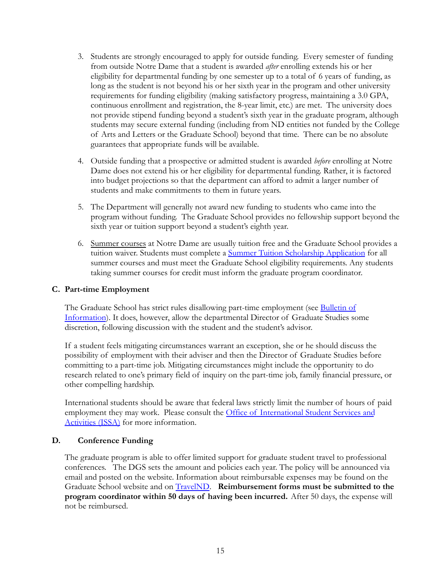- 3. Students are strongly encouraged to apply for outside funding. Every semester of funding from outside Notre Dame that a student is awarded *after* enrolling extends his or her eligibility for departmental funding by one semester up to a total of 6 years of funding, as long as the student is not beyond his or her sixth year in the program and other university requirements for funding eligibility (making satisfactory progress, maintaining a 3.0 GPA, continuous enrollment and registration, the 8-year limit, etc.) are met. The university does not provide stipend funding beyond a student's sixth year in the graduate program, although students may secure external funding (including from ND entities not funded by the College of Arts and Letters or the Graduate School) beyond that time. There can be no absolute guarantees that appropriate funds will be available.
- 4. Outside funding that a prospective or admitted student is awarded *before* enrolling at Notre Dame does not extend his or her eligibility for departmental funding. Rather, it is factored into budget projections so that the department can afford to admit a larger number of students and make commitments to them in future years.
- 5. The Department will generally not award new funding to students who came into the program without funding. The Graduate School provides no fellowship support beyond the sixth year or tuition support beyond a student's eighth year.
- 6. Summer courses at Notre Dame are usually tuition free and the Graduate School provides a tuition waiver. Students must complete a Summer Tuition [Scholarship Application](https://graduateschool.nd.edu/funding/summer-tuition-scholarships/) for all summer courses and must meet the Graduate School eligibility requirements. Any students taking summer courses for credit must inform the graduate program coordinator.

#### **C. Part-time Employment**

The Graduate School has strict rules disallowing part-time employment (see [Bulletin of](https://graduateschool.nd.edu/policies-forms/forms-policies-procedures/) [Information](https://graduateschool.nd.edu/policies-forms/forms-policies-procedures/)). It does, however, allow the departmental Director of Graduate Studies some discretion, following discussion with the student and the student's advisor.

If a student feels mitigating circumstances warrant an exception, she or he should discuss the possibility of employment with their adviser and then the Director of Graduate Studies before committing to a part-time job. Mitigating circumstances might include the opportunity to do research related to one's primary field of inquiry on the part-time job, family financial pressure, or other compelling hardship.

International students should be aware that federal laws strictly limit the number of hours of paid employment they may work. Please consult the Office [of International Student Services and](http://issa.nd.edu/) [Activities \(ISSA\)](http://issa.nd.edu/) for more information.

#### <span id="page-15-0"></span>**D. Conference Funding**

The graduate program is able to offer limited support for graduate student travel to professional conferences. The DGS sets the amount and policies each year. The policy will be announced via email and posted on the website. Information about reimbursable expenses may be found on the Graduate School website and on [TravelND](http://www.travel.nd.edu). **Reimbursement forms must be submitted to the program coordinator within 50 days of having been incurred.** After 50 days, the expense will not be reimbursed.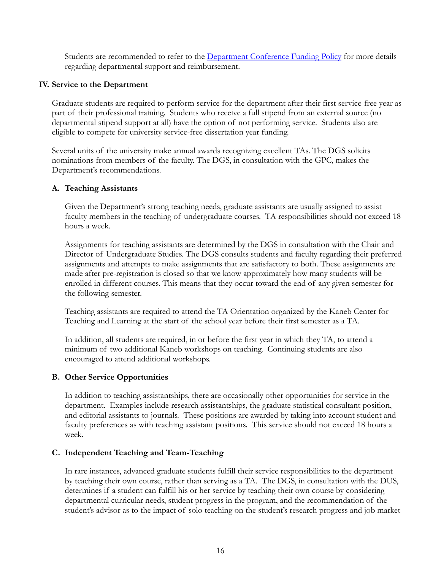Students are recommended to refer to the [Department Conference Funding Policy](https://politicalscience.nd.edu/graduate-program/student-resources/#travel) for more details regarding departmental support and reimbursement.

#### <span id="page-16-0"></span>**IV. Service to the Department**

Graduate students are required to perform service for the department after their first service-free year as part of their professional training. Students who receive a full stipend from an external source (no departmental stipend support at all) have the option of not performing service. Students also are eligible to compete for university service-free dissertation year funding.

Several units of the university make annual awards recognizing excellent TAs. The DGS solicits nominations from members of the faculty. The DGS, in consultation with the GPC, makes the Department's recommendations.

#### **A. Teaching Assistants**

Given the Department's strong teaching needs, graduate assistants are usually assigned to assist faculty members in the teaching of undergraduate courses. TA responsibilities should not exceed 18 hours a week.

Assignments for teaching assistants are determined by the DGS in consultation with the Chair and Director of Undergraduate Studies. The DGS consults students and faculty regarding their preferred assignments and attempts to make assignments that are satisfactory to both. These assignments are made after pre-registration is closed so that we know approximately how many students will be enrolled in different courses. This means that they occur toward the end of any given semester for the following semester.

Teaching assistants are required to attend the TA Orientation organized by the Kaneb Center for Teaching and Learning at the start of the school year before their first semester as a TA.

In addition, all students are required, in or before the first year in which they TA, to attend a minimum of two additional Kaneb workshops on teaching. Continuing students are also encouraged to attend additional workshops.

#### **B. Other Service Opportunities**

In addition to teaching assistantships, there are occasionally other opportunities for service in the department. Examples include research assistantships, the graduate statistical consultant position, and editorial assistants to journals. These positions are awarded by taking into account student and faculty preferences as with teaching assistant positions. This service should not exceed 18 hours a week.

#### **C. Independent Teaching and Team-Teaching**

In rare instances, advanced graduate students fulfill their service responsibilities to the department by teaching their own course, rather than serving as a TA. The DGS, in consultation with the DUS, determines if a student can fulfill his or her service by teaching their own course by considering departmental curricular needs, student progress in the program, and the recommendation of the student's advisor as to the impact of solo teaching on the student's research progress and job market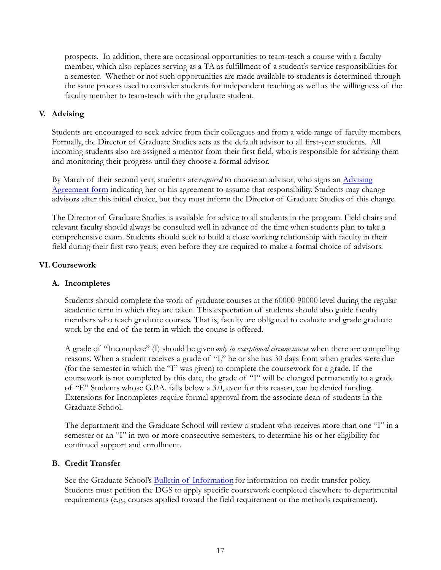prospects. In addition, there are occasional opportunities to team-teach a course with a faculty member, which also replaces serving as a TA as fulfillment of a student's service responsibilities for a semester. Whether or not such opportunities are made available to students is determined through the same process used to consider students for independent teaching as well as the willingness of the faculty member to team-teach with the graduate student.

#### <span id="page-17-0"></span>**V. Advising**

Students are encouraged to seek advice from their colleagues and from a wide range of faculty members. Formally, the Director of Graduate Studies acts as the default advisor to all first-year students. All incoming students also are assigned a mentor from their first field, who is responsible for advising them and monitoring their progress until they choose a formal advisor.

By March of their second year, students are *required* to choose an advisor, who signs an [Advising](http://politicalscience.nd.edu/assets/40436/advising_agreement.pdf) [Agreement form](http://politicalscience.nd.edu/assets/40436/advising_agreement.pdf) indicating her or his agreement to assume that responsibility. Students may change advisors after this initial choice, but they must inform the Director of Graduate Studies of this change.

The Director of Graduate Studies is available for advice to all students in the program. Field chairs and relevant faculty should always be consulted well in advance of the time when students plan to take a comprehensive exam. Students should seek to build a close working relationship with faculty in their field during their first two years, even before they are required to make a formal choice of advisors.

#### <span id="page-17-1"></span>**VI. Coursework**

#### <span id="page-17-2"></span>**A. Incompletes**

Students should complete the work of graduate courses at the 60000-90000 level during the regular academic term in which they are taken. This expectation of students should also guide faculty members who teach graduate courses. That is, faculty are obligated to evaluate and grade graduate work by the end of the term in which the course is offered.

A grade of "Incomplete" (I) should be given*only in exceptional circumstances* when there are compelling reasons. When a student receives a grade of "I," he or she has 30 days from when grades were due (for the semester in which the "I" was given) to complete the coursework for a grade. If the coursework is not completed by this date, the grade of "I" will be changed permanently to a grade of "F." Students whose G.P.A. falls below a 3.0, even for this reason, can be denied funding. Extensions for Incompletes require formal approval from the associate dean of students in the Graduate School.

The department and the Graduate School will review a student who receives more than one "I" in a semester or an "I" in two or more consecutive semesters, to determine his or her eligibility for continued support and enrollment.

#### <span id="page-17-3"></span>**B. Credit Transfer**

See the Graduate School's [Bulletin of Information](https://graduateschool.nd.edu/policies-forms/forms-policies-procedures/) for information on credit transfer policy. Students must petition the DGS to apply specific coursework completed elsewhere to departmental requirements (e.g., courses applied toward the field requirement or the methods requirement).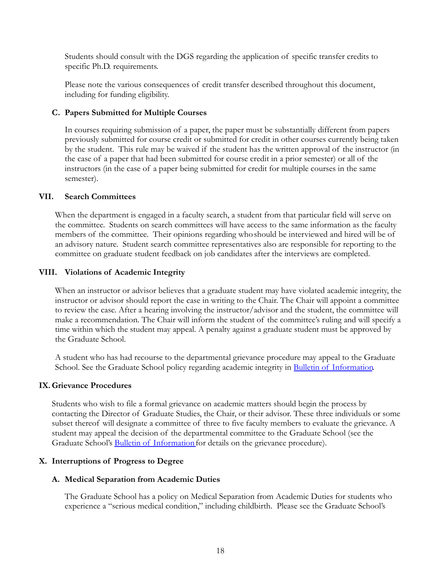Students should consult with the DGS regarding the application of specific transfer credits to specific Ph.D. requirements.

Please note the various consequences of credit transfer described throughout this document, including for funding eligibility.

#### <span id="page-18-0"></span>**C. Papers Submitted for Multiple Courses**

In courses requiring submission of a paper, the paper must be substantially different from papers previously submitted for course credit or submitted for credit in other courses currently being taken by the student. This rule may be waived if the student has the written approval of the instructor (in the case of a paper that had been submitted for course credit in a prior semester) or all of the instructors (in the case of a paper being submitted for credit for multiple courses in the same semester).

#### <span id="page-18-1"></span>**VII. Search Committees**

When the department is engaged in a faculty search, a student from that particular field will serve on the committee. Students on search committees will have access to the same information as the faculty members of the committee. Their opinions regarding whoshould be interviewed and hired will be of an advisory nature. Student search committee representatives also are responsible for reporting to the committee on graduate student feedback on job candidates after the interviews are completed.

#### <span id="page-18-2"></span>**VIII. Violations of Academic Integrity**

When an instructor or advisor believes that a graduate student may have violated academic integrity, the instructor or advisor should report the case in writing to the Chair. The Chair will appoint a committee to review the case. After a hearing involving the instructor/advisor and the student, the committee will make a recommendation. The Chair will inform the student of the committee's ruling and will specify a time within which the student may appeal. A penalty against a graduate student must be approved by the Graduate School.

A student who has had recourse to the departmental grievance procedure may appeal to the Graduate School. See the Graduate School policy regarding academic integrity in [Bulletin of Information](https://graduateschool.nd.edu/policies-forms/forms-policies-procedures/).

#### <span id="page-18-3"></span>**IX. Grievance Procedures**

Students who wish to file a formal grievance on academic matters should begin the process by contacting the Director of Graduate Studies, the Chair, or their advisor. These three individuals or some subset thereof will designate a committee of three to five faculty members to evaluate the grievance. A student may appeal the decision of the departmental committee to the Graduate School (see the Graduate School's [Bulletin of Information](https://graduateschool.nd.edu/policies-forms/forms-policies-procedures/)for details on the grievance procedure).

#### <span id="page-18-4"></span>**X. Interruptions of Progress to Degree**

#### <span id="page-18-5"></span>**A. Medical Separation from Academic Duties**

The Graduate School has a policy on Medical Separation from Academic Duties for students who experience a "serious medical condition," including childbirth. Please see the Graduate School's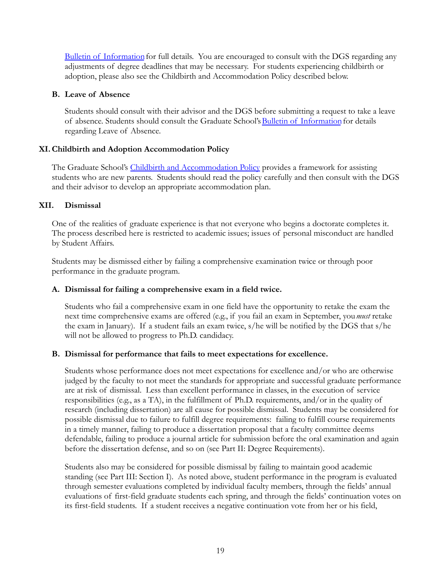[Bulletin of Information](https://graduateschool.nd.edu/policies-forms/forms-policies-procedures/) for full details. You are encouraged to consult with the DGS regarding any adjustments of degree deadlines that may be necessary. For students experiencing childbirth or adoption, please also see the Childbirth and Accommodation Policy described below.

#### <span id="page-19-0"></span>**B. Leave of Absence**

Students should consult with their advisor and the DGS before submitting a request to take a leave of absence. Students should consult the Graduate School's [Bulletin of Information](https://graduateschool.nd.edu/policies-forms/forms-policies-procedures/) for details regarding Leave of Absence.

#### <span id="page-19-1"></span>**XI.Childbirth and Adoption Accommodation Policy**

The Graduate School's [Childbirth and Accommodation](http://graduateschool.nd.edu/assets/40607/family_accommodation_policy.pdf) Policy provides a framework for assisting students who are new parents. Students should read the policy carefully and then consult with the DGS and their advisor to develop an appropriate accommodation plan.

#### <span id="page-19-2"></span>**XII. Dismissal**

One of the realities of graduate experience is that not everyone who begins a doctorate completes it. The process described here is restricted to academic issues; issues of personal misconduct are handled by Student Affairs.

Students may be dismissed either by failing a comprehensive examination twice or through poor performance in the graduate program.

#### <span id="page-19-3"></span>**A. Dismissal for failing a comprehensive exam in a field twice.**

Students who fail a comprehensive exam in one field have the opportunity to retake the exam the next time comprehensive exams are offered (e.g., if you fail an exam in September, you*must* retake the exam in January). If a student fails an exam twice, s/he will be notified by the DGS that s/he will not be allowed to progress to Ph.D. candidacy.

#### <span id="page-19-4"></span>**B. Dismissal for performance that fails to meet expectations for excellence.**

Students whose performance does not meet expectations for excellence and/or who are otherwise judged by the faculty to not meet the standards for appropriate and successful graduate performance are at risk of dismissal. Less than excellent performance in classes, in the execution of service responsibilities (e.g., as a TA), in the fulfillment of Ph.D. requirements, and/or in the quality of research (including dissertation) are all cause for possible dismissal. Students may be considered for possible dismissal due to failure to fulfill degree requirements: failing to fulfill course requirements in a timely manner, failing to produce a dissertation proposal that a faculty committee deems defendable, failing to produce a journal article for submission before the oral examination and again before the dissertation defense, and so on (see Part II: Degree Requirements).

Students also may be considered for possible dismissal by failing to maintain good academic standing (see Part III: Section I). As noted above, student performance in the program is evaluated through semester evaluations completed by individual faculty members, through the fields' annual evaluations of first-field graduate students each spring, and through the fields' continuation votes on its first-field students. If a student receives a negative continuation vote from her or his field,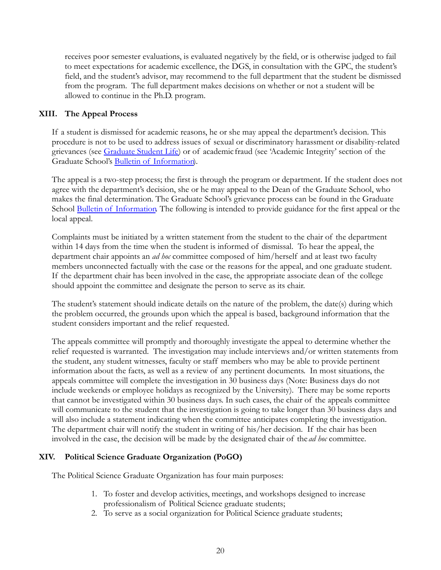receives poor semester evaluations, is evaluated negatively by the field, or is otherwise judged to fail to meet expectations for academic excellence, the DGS, in consultation with the GPC, the student's field, and the student's advisor, may recommend to the full department that the student be dismissed from the program. The full department makes decisions on whether or not a student will be allowed to continue in the Ph.D. program.

#### <span id="page-20-0"></span>**XIII. The Appeal Process**

If a student is dismissed for academic reasons, he or she may appeal the department's decision. This procedure is not to be used to address issues of sexual or discriminatory harassment or disability-related grievances (see [Graduate Student Life\)](https://gradlife.nd.edu/) or of academic fraud (see 'Academic Integrity' section of the Graduate School's [Bulletin of Information\)](https://graduateschool.nd.edu/policies-forms/forms-policies-procedures/)*.*

The appeal is a two-step process; the first is through the program or department. If the student does not agree with the department's decision, she or he may appeal to the Dean of the Graduate School, who makes the final determination. The Graduate School's grievance process can be found in the Graduate School [Bulletin of Information](https://graduateschool.nd.edu/policies-forms/forms-policies-procedures/)*.* The following is intended to provide guidance for the first appeal or the local appeal.

Complaints must be initiated by a written statement from the student to the chair of the department within 14 days from the time when the student is informed of dismissal. To hear the appeal, the department chair appoints an *ad hoc* committee composed of him/herself and at least two faculty members unconnected factually with the case or the reasons for the appeal, and one graduate student. If the department chair has been involved in the case, the appropriate associate dean of the college should appoint the committee and designate the person to serve as its chair.

The student's statement should indicate details on the nature of the problem, the date(s) during which the problem occurred, the grounds upon which the appeal is based, background information that the student considers important and the relief requested.

The appeals committee will promptly and thoroughly investigate the appeal to determine whether the relief requested is warranted. The investigation may include interviews and/or written statements from the student, any student witnesses, faculty or staff members who may be able to provide pertinent information about the facts, as well as a review of any pertinent documents. In most situations, the appeals committee will complete the investigation in 30 business days (Note: Business days do not include weekends or employee holidays as recognized by the University). There may be some reports that cannot be investigated within 30 business days. In such cases, the chair of the appeals committee will communicate to the student that the investigation is going to take longer than 30 business days and will also include a statement indicating when the committee anticipates completing the investigation. The department chair will notify the student in writing of his/her decision. If the chair has been involved in the case, the decision will be made by the designated chair of the *ad hoc* committee.

#### <span id="page-20-1"></span>**XIV. Political Science Graduate Organization (PoGO)**

The Political Science Graduate Organization has four main purposes:

- 1. To foster and develop activities, meetings, and workshops designed to increase professionalism of Political Science graduate students;
- 2. To serve as a social organization for Political Science graduate students;